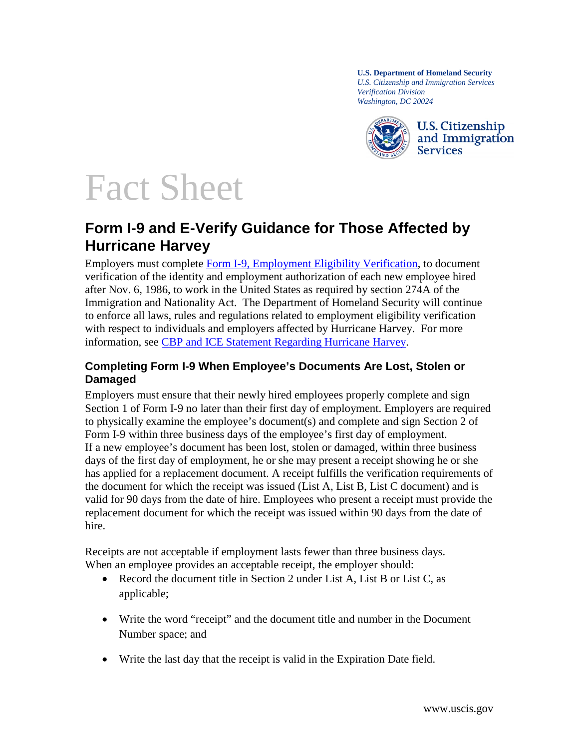**U.S. Department of Homeland Security** *U.S. Citizenship and Immigration Services Verification Division Washington, DC 20024*



# Fact Sheet

## **Form I-9 and E-Verify Guidance for Those Affected by Hurricane Harvey**

Employers must complete [Form I-9, Employment Eligibility Verification,](http://www.uscis.gov/i-9) to document verification of the identity and employment authorization of each new employee hired after Nov. 6, 1986, to work in the United States as required by section 274A of the Immigration and Nationality Act. The Department of Homeland Security will continue to enforce all laws, rules and regulations related to employment eligibility verification with respect to individuals and employers affected by Hurricane Harvey. For more information, see [CBP and ICE Statement Regarding Hurricane Harvey.](https://www.dhs.gov/news/2017/08/25/cbp-and-ice-statement-regarding-hurricane-harvey)

### **Completing Form I-9 When Employee's Documents Are Lost, Stolen or Damaged**

Employers must ensure that their newly hired employees properly complete and sign Section 1 of Form I-9 no later than their first day of employment. Employers are required to physically examine the employee's document(s) and complete and sign Section 2 of Form I-9 within three business days of the employee's first day of employment. If a new employee's document has been lost, stolen or damaged, within three business days of the first day of employment, he or she may present a receipt showing he or she has applied for a replacement document. A receipt fulfills the verification requirements of the document for which the receipt was issued (List A, List B, List C document) and is valid for 90 days from the date of hire. Employees who present a receipt must provide the replacement document for which the receipt was issued within 90 days from the date of hire.

Receipts are not acceptable if employment lasts fewer than three business days. When an employee provides an acceptable receipt, the employer should:

- Record the document title in Section 2 under List A, List B or List C, as applicable;
- Write the word "receipt" and the document title and number in the Document Number space; and
- Write the last day that the receipt is valid in the Expiration Date field.